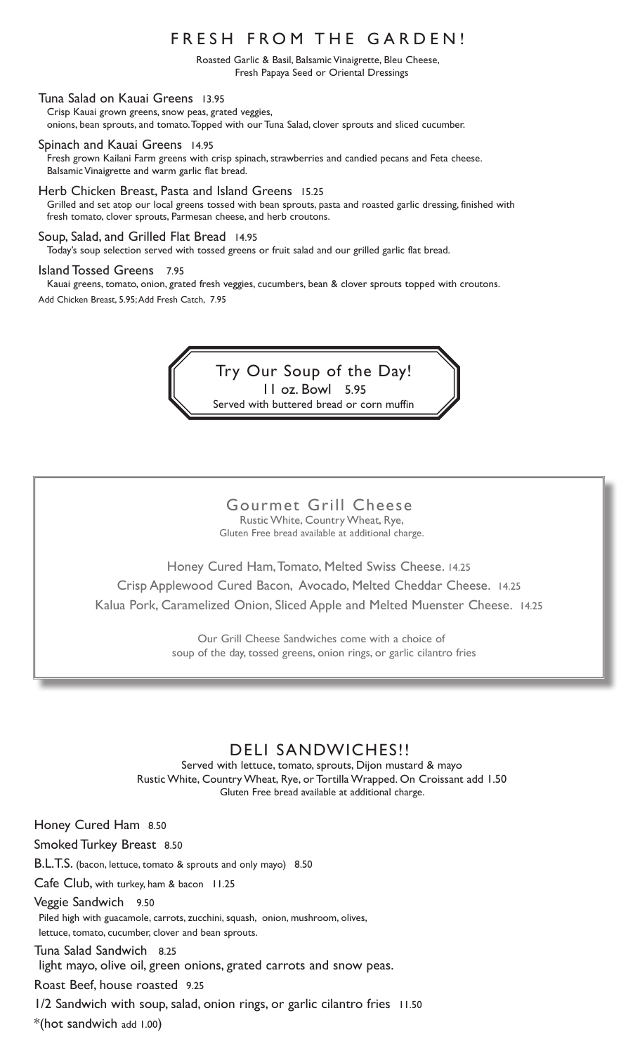#### FRESH FROM THE GARDEN!

Roasted Garlic & Basil, Balsamic Vinaigrette, Bleu Cheese, Fresh Papaya Seed or Oriental Dressings

Tuna Salad on Kauai Greens 13.95 Crisp Kauai grown greens, snow peas, grated veggies, onions, bean sprouts, and tomato. Topped with our Tuna Salad, clover sprouts and sliced cucumber.

Spinach and Kauai Greens 14.95 Fresh grown Kailani Farm greens with crisp spinach, strawberries and candied pecans and Feta cheese. Balsamic Vinaigrette and warm garlic flat bread.

Herb Chicken Breast, Pasta and Island Greens 15.25 Grilled and set atop our local greens tossed with bean sprouts, pasta and roasted garlic dressing, finished with fresh tomato, clover sprouts, Parmesan cheese, and herb croutons.

Soup, Salad, and Grilled Flat Bread 14.95 Today's soup selection served with tossed greens or fruit salad and our grilled garlic flat bread.

#### Island Tossed Greens 7.95

Kauai greens, tomato, onion, grated fresh veggies, cucumbers, bean & clover sprouts topped with croutons. Add Chicken Breast, 5.95; Add Fresh Catch, 7.95

> Try Our Soup of the Day! 11 oz. Bowl 5.95 Served with buttered bread or corn muffin

#### Gourmet Grill Cheese Rustic White, Country Wheat, Rye,

Gluten Free bread available at additional charge.

Honey Cured Ham, Tomato, Melted Swiss Cheese. 14.25 Crisp Applewood Cured Bacon, Avocado, Melted Cheddar Cheese. 14.25 Kalua Pork, Caramelized Onion, Sliced Apple and Melted Muenster Cheese. 14.25

> Our Grill Cheese Sandwiches come with a choice of soup of the day, tossed greens, onion rings, or garlic cilantro fries

#### DELI SANDWICHES!!

Served with lettuce, tomato, sprouts, Dijon mustard & mayo Rustic White, Country Wheat, Rye, or Tortilla Wrapped. On Croissant add 1.50 Gluten Free bread available at additional charge.

Honey Cured Ham 8.50 Smoked Turkey Breast 8.50 B.L.T.S. (bacon, lettuce, tomato & sprouts and only mayo) 8.50 Cafe Club, with turkey, ham & bacon 11.25 Veggie Sandwich 9.50 Piled high with guacamole, carrots, zucchini, squash, onion, mushroom, olives, lettuce, tomato, cucumber, clover and bean sprouts. Tuna Salad Sandwich 8.25 light mayo, olive oil, green onions, grated carrots and snow peas. Roast Beef, house roasted 9.25 1/2 Sandwich with soup, salad, onion rings, or garlic cilantro fries 11.50 \*(hot sandwich add 1.00)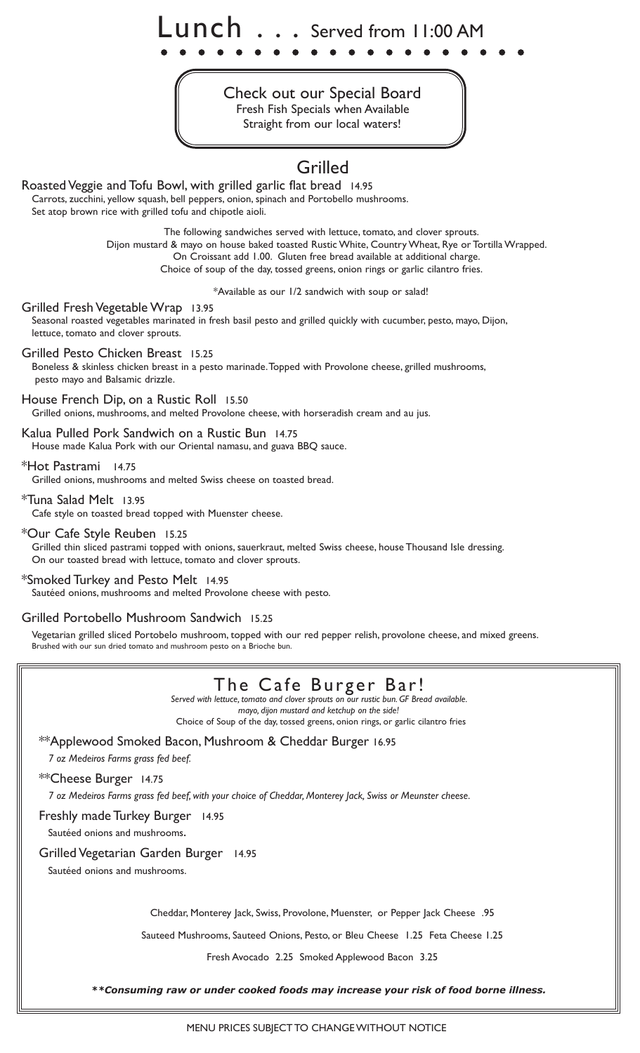Lunch . . . Served from 11:00 AM

Check out our Special Board Fresh Fish Specials when Available Straight from our local waters!

## Grilled

Roasted Veggie and Tofu Bowl, with grilled garlic flat bread 14.95 Carrots, zucchini, yellow squash, bell peppers, onion, spinach and Portobello mushrooms. Set atop brown rice with grilled tofu and chipotle aioli.

> The following sandwiches served with lettuce, tomato, and clover sprouts. Dijon mustard & mayo on house baked toasted Rustic White, Country Wheat, Rye or Tortilla Wrapped. On Croissant add 1.00. Gluten free bread available at additional charge. Choice of soup of the day, tossed greens, onion rings or garlic cilantro fries.

> > \*Available as our 1/2 sandwich with soup or salad!

Grilled Fresh Vegetable Wrap 13.95 Seasonal roasted vegetables marinated in fresh basil pesto and grilled quickly with cucumber, pesto, mayo, Dijon, lettuce, tomato and clover sprouts.

Grilled Pesto Chicken Breast 15.25

Boneless & skinless chicken breast in a pesto marinade. Topped with Provolone cheese, grilled mushrooms, pesto mayo and Balsamic drizzle.

House French Dip, on a Rustic Roll 15.50 Grilled onions, mushrooms, and melted Provolone cheese, with horseradish cream and au jus.

Kalua Pulled Pork Sandwich on a Rustic Bun 14.75 House made Kalua Pork with our Oriental namasu, and guava BBQ sauce.

\*Hot Pastrami 14.75

Grilled onions, mushrooms and melted Swiss cheese on toasted bread.

\*Tuna Salad Melt 13.95 Cafe style on toasted bread topped with Muenster cheese.

\*Our Cafe Style Reuben 15.25 Grilled thin sliced pastrami topped with onions, sauerkraut, melted Swiss cheese, house Thousand Isle dressing. On our toasted bread with lettuce, tomato and clover sprouts.

\*Smoked Turkey and Pesto Melt 14.95 Sautéed onions, mushrooms and melted Provolone cheese with pesto.

Grilled Portobello Mushroom Sandwich 15.25

Vegetarian grilled sliced Portobelo mushroom, topped with our red pepper relish, provolone cheese, and mixed greens. Brushed with our sun dried tomato and mushroom pesto on a Brioche bun.

# The Cafe Burger Bar!

*Served with lettuce, tomato and clover sprouts on our rustic bun. GF Bread available. mayo, dijon mustard and ketchup on the side!* Choice of Soup of the day, tossed greens, onion rings, or garlic cilantro fries

\*\*Applewood Smoked Bacon, Mushroom & Cheddar Burger 16.95

*7 oz Medeiros Farms grass fed beef.*

\*\*Cheese Burger 14.75

*7 oz Medeiros Farms grass fed beef, with your choice of Cheddar, Monterey Jack, Swiss or Meunster cheese.*

Freshly made Turkey Burger 14.95

Sautéed onions and mushrooms.

Grilled Vegetarian Garden Burger 14.95

Sautéed onions and mushrooms.

Cheddar, Monterey Jack, Swiss, Provolone, Muenster, or Pepper Jack Cheese .95

Sauteed Mushrooms, Sauteed Onions, Pesto, or Bleu Cheese 1.25 Feta Cheese 1.25

Fresh Avocado 2.25 Smoked Applewood Bacon 3.25

*\*\*Consuming raw or under cooked foods may increase your risk of food borne illness.*